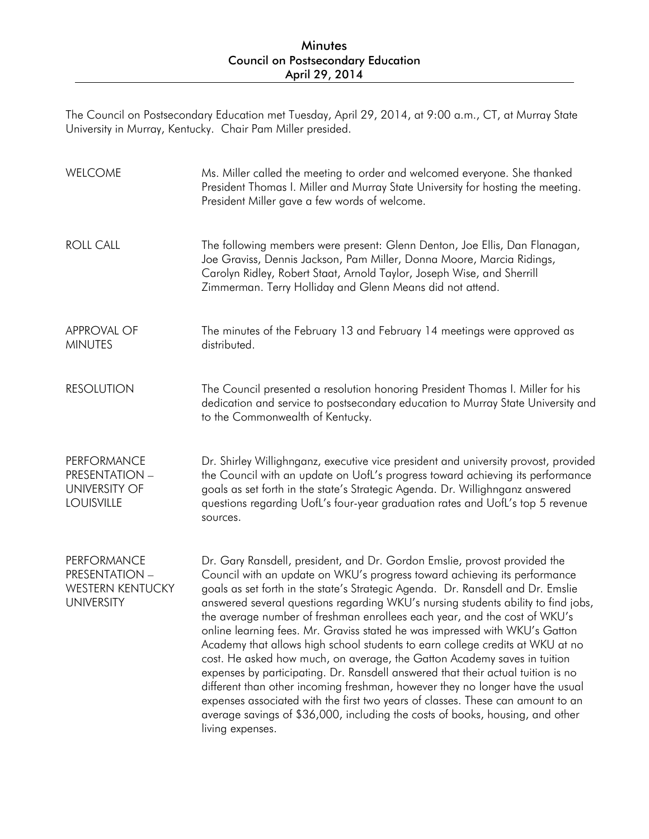## Minutes Council on Postsecondary Education April 29, 2014

The Council on Postsecondary Education met Tuesday, April 29, 2014, at 9:00 a.m., CT, at Murray State University in Murray, Kentucky. Chair Pam Miller presided.

| WELCOME                                                                       | Ms. Miller called the meeting to order and welcomed everyone. She thanked<br>President Thomas I. Miller and Murray State University for hosting the meeting.<br>President Miller gave a few words of welcome.                                                                                                                                                                                                                                                                                                                                                                                                                                                                                                                                                                                                                                                                                                                                                                                                        |
|-------------------------------------------------------------------------------|----------------------------------------------------------------------------------------------------------------------------------------------------------------------------------------------------------------------------------------------------------------------------------------------------------------------------------------------------------------------------------------------------------------------------------------------------------------------------------------------------------------------------------------------------------------------------------------------------------------------------------------------------------------------------------------------------------------------------------------------------------------------------------------------------------------------------------------------------------------------------------------------------------------------------------------------------------------------------------------------------------------------|
| <b>ROLL CALL</b>                                                              | The following members were present: Glenn Denton, Joe Ellis, Dan Flanagan,<br>Joe Graviss, Dennis Jackson, Pam Miller, Donna Moore, Marcia Ridings,<br>Carolyn Ridley, Robert Staat, Arnold Taylor, Joseph Wise, and Sherrill<br>Zimmerman. Terry Holliday and Glenn Means did not attend.                                                                                                                                                                                                                                                                                                                                                                                                                                                                                                                                                                                                                                                                                                                           |
| <b>APPROVAL OF</b><br><b>MINUTES</b>                                          | The minutes of the February 13 and February 14 meetings were approved as<br>distributed.                                                                                                                                                                                                                                                                                                                                                                                                                                                                                                                                                                                                                                                                                                                                                                                                                                                                                                                             |
| <b>RESOLUTION</b>                                                             | The Council presented a resolution honoring President Thomas I. Miller for his<br>dedication and service to postsecondary education to Murray State University and<br>to the Commonwealth of Kentucky.                                                                                                                                                                                                                                                                                                                                                                                                                                                                                                                                                                                                                                                                                                                                                                                                               |
| PERFORMANCE<br>PRESENTATION -<br><b>UNIVERSITY OF</b><br><b>LOUISVILLE</b>    | Dr. Shirley Willighnganz, executive vice president and university provost, provided<br>the Council with an update on UofL's progress toward achieving its performance<br>goals as set forth in the state's Strategic Agenda. Dr. Willighnganz answered<br>questions regarding UofL's four-year graduation rates and UofL's top 5 revenue<br>sources.                                                                                                                                                                                                                                                                                                                                                                                                                                                                                                                                                                                                                                                                 |
| PERFORMANCE<br>PRESENTATION -<br><b>WESTERN KENTUCKY</b><br><b>UNIVERSITY</b> | Dr. Gary Ransdell, president, and Dr. Gordon Emslie, provost provided the<br>Council with an update on WKU's progress toward achieving its performance<br>goals as set forth in the state's Strategic Agenda. Dr. Ransdell and Dr. Emslie<br>answered several questions regarding WKU's nursing students ability to find jobs,<br>the average number of freshman enrollees each year, and the cost of WKU's<br>online learning fees. Mr. Graviss stated he was impressed with WKU's Gatton<br>Academy that allows high school students to earn college credits at WKU at no<br>cost. He asked how much, on average, the Gatton Academy saves in tuition<br>expenses by participating. Dr. Ransdell answered that their actual tuition is no<br>different than other incoming freshman, however they no longer have the usual<br>expenses associated with the first two years of classes. These can amount to an<br>average savings of \$36,000, including the costs of books, housing, and other<br>living expenses. |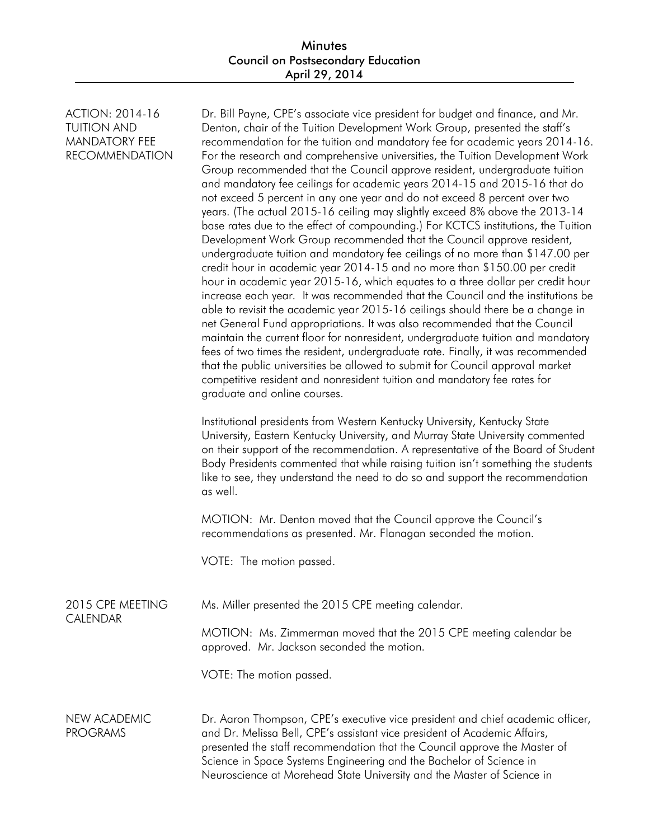ACTION: 2014-16 TUITION AND MANDATORY FEE RECOMMENDATION

CAI FNDAR

Dr. Bill Payne, CPE's associate vice president for budget and finance, and Mr. Denton, chair of the Tuition Development Work Group, presented the staff's recommendation for the tuition and mandatory fee for academic years 2014-16. For the research and comprehensive universities, the Tuition Development Work Group recommended that the Council approve resident, undergraduate tuition and mandatory fee ceilings for academic years 2014-15 and 2015-16 that do not exceed 5 percent in any one year and do not exceed 8 percent over two years. (The actual 2015-16 ceiling may slightly exceed 8% above the 2013-14 base rates due to the effect of compounding.) For KCTCS institutions, the Tuition Development Work Group recommended that the Council approve resident, undergraduate tuition and mandatory fee ceilings of no more than \$147.00 per credit hour in academic year 2014-15 and no more than \$150.00 per credit hour in academic year 2015-16, which equates to a three dollar per credit hour increase each year. It was recommended that the Council and the institutions be able to revisit the academic year 2015-16 ceilings should there be a change in net General Fund appropriations. It was also recommended that the Council maintain the current floor for nonresident, undergraduate tuition and mandatory fees of two times the resident, undergraduate rate. Finally, it was recommended that the public universities be allowed to submit for Council approval market competitive resident and nonresident tuition and mandatory fee rates for graduate and online courses.

Institutional presidents from Western Kentucky University, Kentucky State University, Eastern Kentucky University, and Murray State University commented on their support of the recommendation. A representative of the Board of Student Body Presidents commented that while raising tuition isn't something the students like to see, they understand the need to do so and support the recommendation as well.

MOTION: Mr. Denton moved that the Council approve the Council's recommendations as presented. Mr. Flanagan seconded the motion.

VOTE: The motion passed.

|  | 2015 CPE MEETING | Ms. Miller presented the 2015 CPE meeting calendar. |  |
|--|------------------|-----------------------------------------------------|--|
|--|------------------|-----------------------------------------------------|--|

MOTION: Ms. Zimmerman moved that the 2015 CPE meeting calendar be approved. Mr. Jackson seconded the motion.

VOTE: The motion passed.

NEW ACADEMIC PROGRAMS Dr. Aaron Thompson, CPE's executive vice president and chief academic officer, and Dr. Melissa Bell, CPE's assistant vice president of Academic Affairs, presented the staff recommendation that the Council approve the Master of Science in Space Systems Engineering and the Bachelor of Science in Neuroscience at Morehead State University and the Master of Science in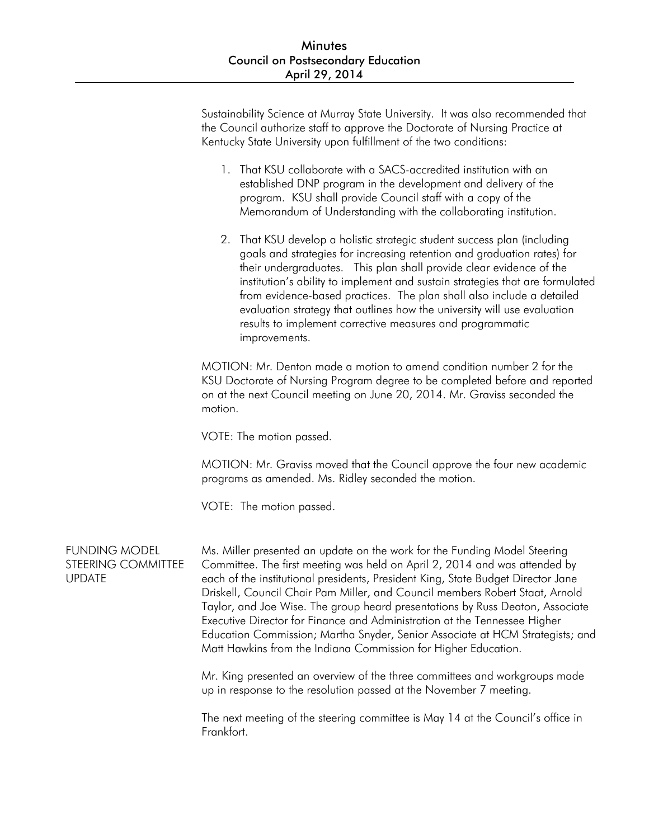Sustainability Science at Murray State University. It was also recommended that the Council authorize staff to approve the Doctorate of Nursing Practice at Kentucky State University upon fulfillment of the two conditions:

- 1. That KSU collaborate with a SACS-accredited institution with an established DNP program in the development and delivery of the program. KSU shall provide Council staff with a copy of the Memorandum of Understanding with the collaborating institution.
- 2. That KSU develop a holistic strategic student success plan (including goals and strategies for increasing retention and graduation rates) for their undergraduates. This plan shall provide clear evidence of the institution's ability to implement and sustain strategies that are formulated from evidence-based practices. The plan shall also include a detailed evaluation strategy that outlines how the university will use evaluation results to implement corrective measures and programmatic improvements.

MOTION: Mr. Denton made a motion to amend condition number 2 for the KSU Doctorate of Nursing Program degree to be completed before and reported on at the next Council meeting on June 20, 2014. Mr. Graviss seconded the motion.

VOTE: The motion passed.

MOTION: Mr. Graviss moved that the Council approve the four new academic programs as amended. Ms. Ridley seconded the motion.

VOTE: The motion passed.

FUNDING MODEL STEERING COMMITTEE UPDATE

Ms. Miller presented an update on the work for the Funding Model Steering Committee. The first meeting was held on April 2, 2014 and was attended by each of the institutional presidents, President King, State Budget Director Jane Driskell, Council Chair Pam Miller, and Council members Robert Staat, Arnold Taylor, and Joe Wise. The group heard presentations by Russ Deaton, Associate Executive Director for Finance and Administration at the Tennessee Higher Education Commission; Martha Snyder, Senior Associate at HCM Strategists; and Matt Hawkins from the Indiana Commission for Higher Education.

Mr. King presented an overview of the three committees and workgroups made up in response to the resolution passed at the November 7 meeting.

The next meeting of the steering committee is May 14 at the Council's office in Frankfort.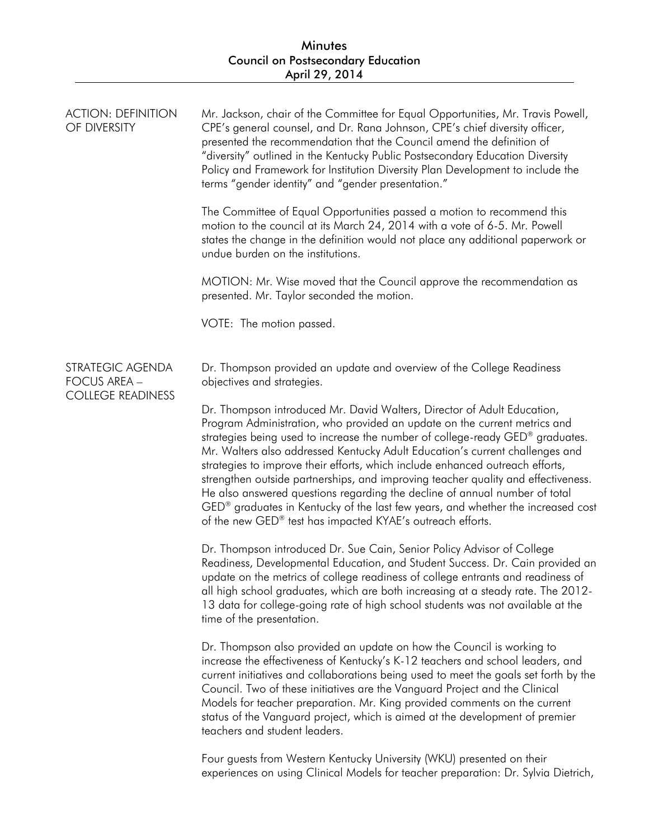| <b>ACTION: DEFINITION</b><br>OF DIVERSITY                           | Mr. Jackson, chair of the Committee for Equal Opportunities, Mr. Travis Powell,<br>CPE's general counsel, and Dr. Rana Johnson, CPE's chief diversity officer,<br>presented the recommendation that the Council amend the definition of<br>"diversity" outlined in the Kentucky Public Postsecondary Education Diversity<br>Policy and Framework for Institution Diversity Plan Development to include the<br>terms "gender identity" and "gender presentation."<br>The Committee of Equal Opportunities passed a motion to recommend this<br>motion to the council at its March 24, 2014 with a vote of 6-5. Mr. Powell<br>states the change in the definition would not place any additional paperwork or<br>undue burden on the institutions.<br>MOTION: Mr. Wise moved that the Council approve the recommendation as<br>presented. Mr. Taylor seconded the motion.<br>VOTE: The motion passed.                                                                                                                                                                                                                                                                                                                                                                                                                                                                                                                                                                                                                                                 |
|---------------------------------------------------------------------|-----------------------------------------------------------------------------------------------------------------------------------------------------------------------------------------------------------------------------------------------------------------------------------------------------------------------------------------------------------------------------------------------------------------------------------------------------------------------------------------------------------------------------------------------------------------------------------------------------------------------------------------------------------------------------------------------------------------------------------------------------------------------------------------------------------------------------------------------------------------------------------------------------------------------------------------------------------------------------------------------------------------------------------------------------------------------------------------------------------------------------------------------------------------------------------------------------------------------------------------------------------------------------------------------------------------------------------------------------------------------------------------------------------------------------------------------------------------------------------------------------------------------------------------------------|
| STRATEGIC AGENDA<br><b>FOCUS AREA -</b><br><b>COLLEGE READINESS</b> | Dr. Thompson provided an update and overview of the College Readiness<br>objectives and strategies.<br>Dr. Thompson introduced Mr. David Walters, Director of Adult Education,<br>Program Administration, who provided an update on the current metrics and<br>strategies being used to increase the number of college-ready GED® graduates.<br>Mr. Walters also addressed Kentucky Adult Education's current challenges and<br>strategies to improve their efforts, which include enhanced outreach efforts,<br>strengthen outside partnerships, and improving teacher quality and effectiveness.<br>He also answered questions regarding the decline of annual number of total<br>GED <sup>®</sup> graduates in Kentucky of the last few years, and whether the increased cost<br>of the new GED® test has impacted KYAE's outreach efforts.<br>Dr. Thompson introduced Dr. Sue Cain, Senior Policy Advisor of College<br>Readiness, Developmental Education, and Student Success. Dr. Cain provided an<br>update on the metrics of college readiness of college entrants and readiness of<br>all high school graduates, which are both increasing at a steady rate. The 2012-<br>13 data for college-going rate of high school students was not available at the<br>time of the presentation.<br>Dr. Thompson also provided an update on how the Council is working to<br>increase the effectiveness of Kentucky's K-12 teachers and school leaders, and<br>current initiatives and collaborations being used to meet the goals set forth by the |
|                                                                     | Council. Two of these initiatives are the Vanguard Project and the Clinical<br>Models for teacher preparation. Mr. King provided comments on the current<br>status of the Vanguard project, which is aimed at the development of premier<br>teachers and student leaders.                                                                                                                                                                                                                                                                                                                                                                                                                                                                                                                                                                                                                                                                                                                                                                                                                                                                                                                                                                                                                                                                                                                                                                                                                                                                           |

Four guests from Western Kentucky University (WKU) presented on their experiences on using Clinical Models for teacher preparation: Dr. Sylvia Dietrich,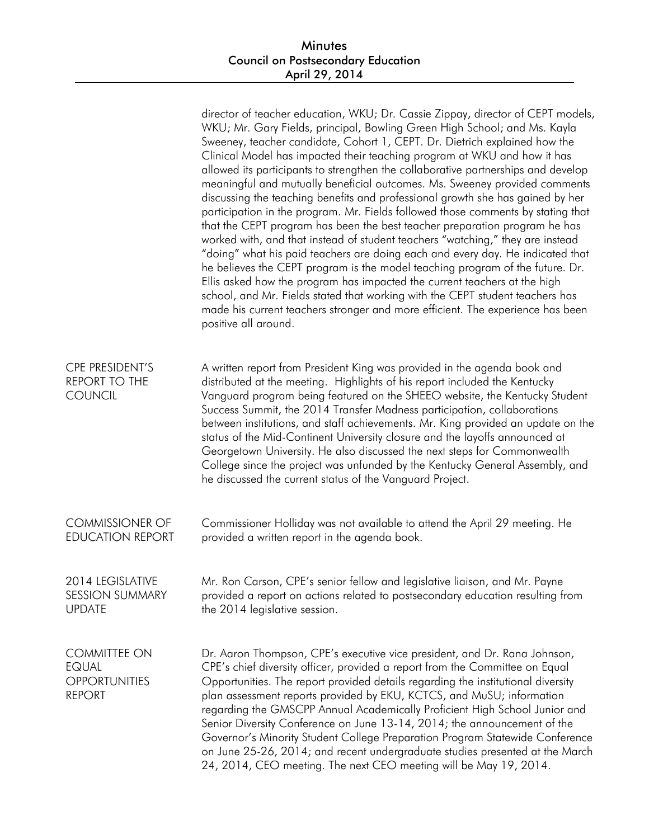|                                                                              | director of teacher education, WKU; Dr. Cassie Zippay, director of CEPT models,<br>WKU; Mr. Gary Fields, principal, Bowling Green High School; and Ms. Kayla<br>Sweeney, teacher candidate, Cohort 1, CEPT. Dr. Dietrich explained how the<br>Clinical Model has impacted their teaching program at WKU and how it has<br>allowed its participants to strengthen the collaborative partnerships and develop<br>meaningful and mutually beneficial outcomes. Ms. Sweeney provided comments<br>discussing the teaching benefits and professional growth she has gained by her<br>participation in the program. Mr. Fields followed those comments by stating that<br>that the CEPT program has been the best teacher preparation program he has<br>worked with, and that instead of student teachers "watching," they are instead<br>"doing" what his paid teachers are doing each and every day. He indicated that<br>he believes the CEPT program is the model teaching program of the future. Dr.<br>Ellis asked how the program has impacted the current teachers at the high<br>school, and Mr. Fields stated that working with the CEPT student teachers has<br>made his current teachers stronger and more efficient. The experience has been<br>positive all around. |
|------------------------------------------------------------------------------|----------------------------------------------------------------------------------------------------------------------------------------------------------------------------------------------------------------------------------------------------------------------------------------------------------------------------------------------------------------------------------------------------------------------------------------------------------------------------------------------------------------------------------------------------------------------------------------------------------------------------------------------------------------------------------------------------------------------------------------------------------------------------------------------------------------------------------------------------------------------------------------------------------------------------------------------------------------------------------------------------------------------------------------------------------------------------------------------------------------------------------------------------------------------------------------------------------------------------------------------------------------------------|
| CPE PRESIDENT'S<br><b>REPORT TO THE</b><br><b>COUNCIL</b>                    | A written report from President King was provided in the agenda book and<br>distributed at the meeting. Highlights of his report included the Kentucky<br>Vanguard program being featured on the SHEEO website, the Kentucky Student<br>Success Summit, the 2014 Transfer Madness participation, collaborations<br>between institutions, and staff achievements. Mr. King provided an update on the<br>status of the Mid-Continent University closure and the layoffs announced at<br>Georgetown University. He also discussed the next steps for Commonwealth<br>College since the project was unfunded by the Kentucky General Assembly, and<br>he discussed the current status of the Vanguard Project.                                                                                                                                                                                                                                                                                                                                                                                                                                                                                                                                                                 |
| <b>COMMISSIONER OF</b><br><b>EDUCATION REPORT</b>                            | Commissioner Holliday was not available to attend the April 29 meeting. He<br>provided a written report in the agenda book.                                                                                                                                                                                                                                                                                                                                                                                                                                                                                                                                                                                                                                                                                                                                                                                                                                                                                                                                                                                                                                                                                                                                                |
| 2014 LEGISLATIVE<br><b>SESSION SUMMARY</b><br><b>UPDATE</b>                  | Mr. Ron Carson, CPE's senior fellow and legislative liaison, and Mr. Payne<br>provided a report on actions related to postsecondary education resulting from<br>the 2014 legislative session.                                                                                                                                                                                                                                                                                                                                                                                                                                                                                                                                                                                                                                                                                                                                                                                                                                                                                                                                                                                                                                                                              |
| <b>COMMITTEE ON</b><br><b>EQUAL</b><br><b>OPPORTUNITIES</b><br><b>REPORT</b> | Dr. Aaron Thompson, CPE's executive vice president, and Dr. Rana Johnson,<br>CPE's chief diversity officer, provided a report from the Committee on Equal<br>Opportunities. The report provided details regarding the institutional diversity<br>plan assessment reports provided by EKU, KCTCS, and MuSU; information<br>regarding the GMSCPP Annual Academically Proficient High School Junior and<br>Senior Diversity Conference on June 13-14, 2014; the announcement of the<br>Governor's Minority Student College Preparation Program Statewide Conference<br>on June 25-26, 2014; and recent undergraduate studies presented at the March<br>24, 2014, CEO meeting. The next CEO meeting will be May 19, 2014.                                                                                                                                                                                                                                                                                                                                                                                                                                                                                                                                                      |